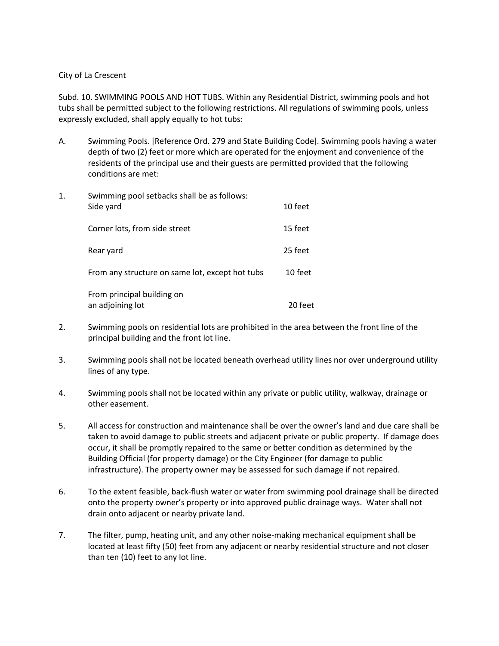## City of La Crescent

Subd. 10. SWIMMING POOLS AND HOT TUBS. Within any Residential District, swimming pools and hot tubs shall be permitted subject to the following restrictions. All regulations of swimming pools, unless expressly excluded, shall apply equally to hot tubs:

A. Swimming Pools. [Reference Ord. 279 and State Building Code]. Swimming pools having a water depth of two (2) feet or more which are operated for the enjoyment and convenience of the residents of the principal use and their guests are permitted provided that the following conditions are met:

| 1. | Swimming pool setbacks shall be as follows:<br>Side yard | 10 feet |
|----|----------------------------------------------------------|---------|
|    | Corner lots, from side street                            | 15 feet |
|    | Rear yard                                                | 25 feet |
|    | From any structure on same lot, except hot tubs          | 10 feet |
|    | From principal building on<br>an adjoining lot           | 20 feet |

- 2. Swimming pools on residential lots are prohibited in the area between the front line of the principal building and the front lot line.
- 3. Swimming pools shall not be located beneath overhead utility lines nor over underground utility lines of any type.
- 4. Swimming pools shall not be located within any private or public utility, walkway, drainage or other easement.
- 5. All access for construction and maintenance shall be over the owner's land and due care shall be taken to avoid damage to public streets and adjacent private or public property. If damage does occur, it shall be promptly repaired to the same or better condition as determined by the Building Official (for property damage) or the City Engineer (for damage to public infrastructure). The property owner may be assessed for such damage if not repaired.
- 6. To the extent feasible, back-flush water or water from swimming pool drainage shall be directed onto the property owner's property or into approved public drainage ways. Water shall not drain onto adjacent or nearby private land.
- 7. The filter, pump, heating unit, and any other noise-making mechanical equipment shall be located at least fifty (50) feet from any adjacent or nearby residential structure and not closer than ten (10) feet to any lot line.